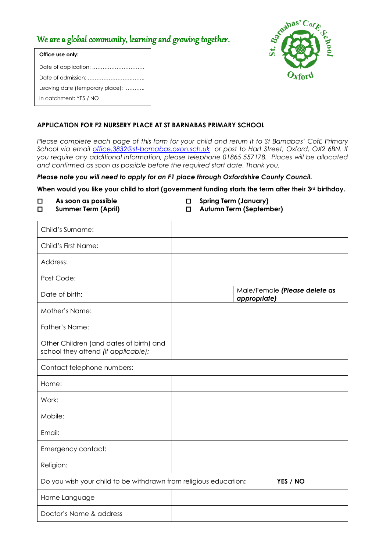# We are a global community, learning and growing together.



| Office use only:                |
|---------------------------------|
|                                 |
|                                 |
| Leaving date (temporary place): |
| In catchment: YES / NO          |

# **APPLICATION FOR F2 NURSERY PLACE AT ST BARNABAS PRIMARY SCHOOL**

*Please complete each page of this form for your child and return it to St Barnabas' CofE Primary School via email [office.3832@st-barnabas.oxon.sch.uk](mailto:office.3832@st-barnabas.oxon.sch.uk) or post to Hart Street, Oxford, OX2 6BN. If you require any additional information, please telephone 01865 557178. Places will be allocated and confirmed as soon as possible before the required start date. Thank you.*

*Please note you will need to apply for an F1 place through Oxfordshire County Council.*

| When would you like your child to start (government funding starts the term after their 3rd birthday. |                                                                                |        |                                                         |
|-------------------------------------------------------------------------------------------------------|--------------------------------------------------------------------------------|--------|---------------------------------------------------------|
| □<br>□                                                                                                | As soon as possible<br><b>Summer Term (April)</b>                              | □<br>□ | <b>Spring Term (January)</b><br>Autumn Term (September) |
|                                                                                                       | Child's Surname:                                                               |        |                                                         |
|                                                                                                       | Child's First Name:                                                            |        |                                                         |
|                                                                                                       | Address:                                                                       |        |                                                         |
|                                                                                                       | Post Code:                                                                     |        |                                                         |
|                                                                                                       | Date of birth:                                                                 |        | Male/Female (Please delete as<br>appropriate)           |
|                                                                                                       | Mother's Name:                                                                 |        |                                                         |
|                                                                                                       | Father's Name:                                                                 |        |                                                         |
|                                                                                                       | Other Children (and dates of birth) and<br>school they attend (if applicable): |        |                                                         |
|                                                                                                       | Contact telephone numbers:                                                     |        |                                                         |
|                                                                                                       | Home:                                                                          |        |                                                         |
| Work:                                                                                                 |                                                                                |        |                                                         |
|                                                                                                       | Mobile:                                                                        |        |                                                         |
|                                                                                                       | Email:                                                                         |        |                                                         |
|                                                                                                       | Emergency contact:                                                             |        |                                                         |
|                                                                                                       | Religion:                                                                      |        |                                                         |
|                                                                                                       | Do you wish your child to be withdrawn from religious education:               |        | YES / NO                                                |

Home Language

Doctor's Name & address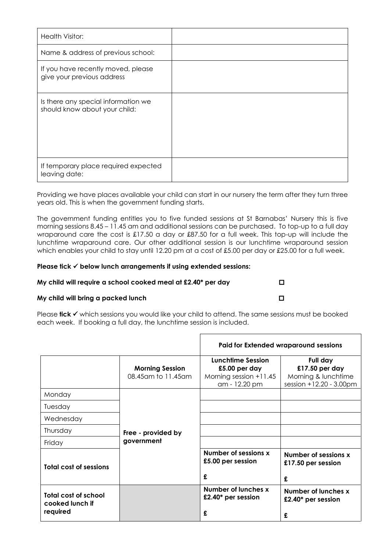| Health Visitor:                                                      |  |
|----------------------------------------------------------------------|--|
| Name & address of previous school:                                   |  |
| If you have recently moved, please<br>give your previous address     |  |
| Is there any special information we<br>should know about your child: |  |
| If temporary place required expected<br>leaving date:                |  |

Providing we have places available your child can start in our nursery the term after they turn three years old. This is when the government funding starts.

The government funding entitles you to five funded sessions at St Barnabas' Nursery this is five morning sessions 8.45 – 11.45 am and additional sessions can be purchased. To top-up to a full day wraparound care the cost is £17.50 a day or £87.50 for a full week. This top-up will include the lunchtime wraparound care. Our other additional session is our lunchtime wraparound session which enables your child to stay until 12.20 pm at a cost of £5.00 per day or £25.00 for a full week.

## **Please tick**  $\checkmark$  **below lunch arrangements if using extended sessions:**

## **My child will require a school cooked meal at £2.40\* per day**

## **My child will bring a packed lunch**

| Please $\textsf{tick} \prec \textsf{which}$ sessions you would like your child to attend. The same sessions must be booked |
|----------------------------------------------------------------------------------------------------------------------------|
| each week. If booking a full day, the lunchtime session is included.                                                       |

|                                                     |                                              | <b>Paid for Extended wraparound sessions</b>                                    |                                                                                 |
|-----------------------------------------------------|----------------------------------------------|---------------------------------------------------------------------------------|---------------------------------------------------------------------------------|
|                                                     | <b>Morning Session</b><br>08.45am to 11.45am | Lunchtime Session<br>£5.00 per day<br>Morning session $+11.45$<br>am - 12.20 pm | Full day<br>£17.50 per day<br>Morning & lunchtime<br>session $+12.20 - 3.00$ pm |
| Monday                                              |                                              |                                                                                 |                                                                                 |
| Tuesday                                             |                                              |                                                                                 |                                                                                 |
| Wednesday                                           |                                              |                                                                                 |                                                                                 |
| Thursday                                            | Free - provided by                           |                                                                                 |                                                                                 |
| Friday                                              | government                                   |                                                                                 |                                                                                 |
| <b>Total cost of sessions</b>                       |                                              | Number of sessions x<br>£5.00 per session<br>£                                  | Number of sessions x<br>£17.50 per session<br>£                                 |
| Total cost of school<br>cooked lunch if<br>required |                                              | Number of lunches x<br>£2.40* per session<br>£                                  | Number of lunches x<br>£2.40* per session<br>£                                  |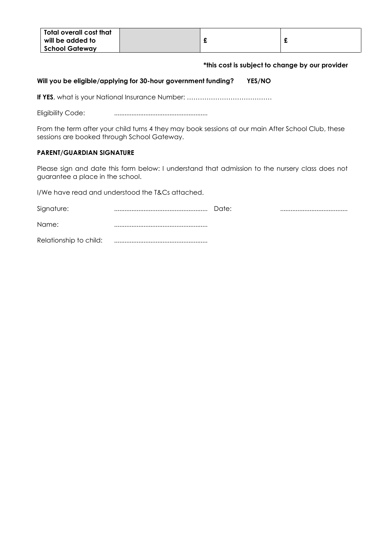| Total overall cost that |  |  |
|-------------------------|--|--|
| will be added to        |  |  |
| <b>School Gateway</b>   |  |  |

## **\*this cost is subject to change by our provider**

## **Will you be eligible/applying for 30-hour government funding? YES/NO**

**If YES**, what is your National Insurance Number: …………………………………

Eligibility Code: ......................................................

From the term after your child turns 4 they may book sessions at our main After School Club, these sessions are booked through School Gateway.

## **PARENT/GUARDIAN SIGNATURE**

Please sign and date this form below: I understand that admission to the nursery class does not guarantee a place in the school.

I/We have read and understood the T&Cs attached.

| Signature:             | Date: |  |
|------------------------|-------|--|
| Name:                  |       |  |
| Relationship to child: |       |  |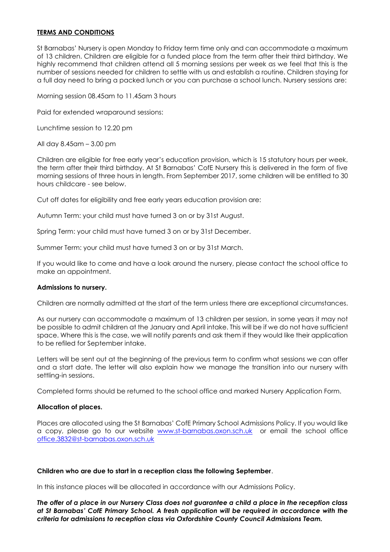## **TERMS AND CONDITIONS**

St Barnabas' Nursery is open Monday to Friday term time only and can accommodate a maximum of 13 children. Children are eligible for a funded place from the term after their third birthday. We highly recommend that children attend all 5 morning sessions per week as we feel that this is the number of sessions needed for children to settle with us and establish a routine. Children staying for a full day need to bring a packed lunch or you can purchase a school lunch. Nursery sessions are:

Morning session 08.45am to 11.45am 3 hours

Paid for extended wraparound sessions:

Lunchtime session to 12.20 pm

All day 8.45am – 3.00 pm

Children are eligible for free early year's education provision, which is 15 statutory hours per week, the term after their third birthday. At St Barnabas' CofE Nursery this is delivered in the form of five morning sessions of three hours in length. From September 2017, some children will be entitled to 30 hours childcare - see below.

Cut off dates for eligibility and free early years education provision are:

Autumn Term: your child must have turned 3 on or by 31st August.

Spring Term: your child must have turned 3 on or by 31st December.

Summer Term: your child must have turned 3 on or by 31st March.

If you would like to come and have a look around the nursery, please contact the school office to make an appointment.

#### **Admissions to nursery.**

Children are normally admitted at the start of the term unless there are exceptional circumstances.

As our nursery can accommodate a maximum of 13 children per session, in some years it may not be possible to admit children at the January and April intake. This will be if we do not have sufficient space. Where this is the case, we will notify parents and ask them if they would like their application to be refiled for September intake.

Letters will be sent out at the beginning of the previous term to confirm what sessions we can offer and a start date. The letter will also explain how we manage the transition into our nursery with settling-in sessions.

Completed forms should be returned to the school office and marked Nursery Application Form.

### **Allocation of places.**

Places are allocated using the St Barnabas' CofE Primary School Admissions Policy. If you would like a copy, please go to our website [www.st-barnabas.oxon.sch.uk](http://www.st-barnabas.oxon.sch.uk/) or email the school office [office.3832@st-barnabas.oxon.sch.uk](mailto:office.3832@st-barnabas.oxon.sch.uk)

#### **Children who are due to start in a reception class the following September**.

In this instance places will be allocated in accordance with our Admissions Policy.

*The offer of a place in our Nursery Class does not guarantee a child a place in the reception class at St Barnabas' CofE Primary School. A fresh application will be required in accordance with the criteria for admissions to reception class via Oxfordshire County Council Admissions Team.*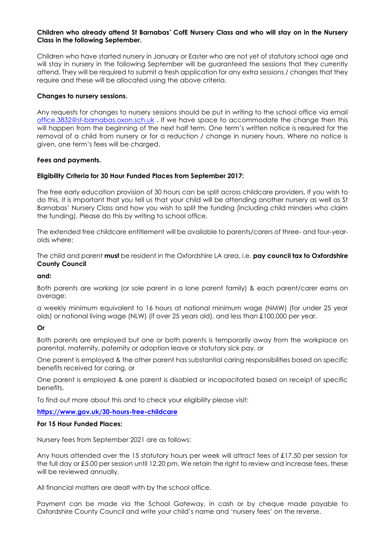## **Children who already attend St Barnabas' CofE Nursery Class and who will stay on in the Nursery Class in the following September.**

Children who have started nursery in January or Easter who are not yet of statutory school age and will stay in nursery in the following September will be guaranteed the sessions that they currently attend. They will be required to submit a fresh application for any extra sessions / changes that they require and these will be allocated using the above criteria.

### **Changes to nursery sessions.**

Any requests for changes to nursery sessions should be put in writing to the school office via email [office.3832@st-barnabas.oxon.sch.uk](mailto:office.3832@st-barnabas.oxon.sch.uk) . If we have space to accommodate the change then this will happen from the beginning of the next half term. One term's written notice is required for the removal of a child from nursery or for a reduction / change in nursery hours. Where no notice is given, one term's fees will be charged.

## **Fees and payments.**

## **Eligibility Criteria for 30 Hour Funded Places from September 2017:**

The free early education provision of 30 hours can be split across childcare providers. If you wish to do this, it is important that you tell us that your child will be attending another nursery as well as St Barnabas' Nursery Class and how you wish to split the funding (including child minders who claim the funding). Please do this by writing to school office.

The extended free childcare entitlement will be available to parents/carers of three- and four-yearolds where:

The child and parent **must** be resident in the Oxfordshire LA area, i.e. **pay council tax to Oxfordshire County Council** 

### **and:**

Both parents are working (or sole parent in a lone parent family) & each parent/carer earns on average:

a weekly minimum equivalent to 16 hours at national minimum wage (NMW) (for under 25 year olds) or national living wage (NLW) (if over 25 years old), and less than £100,000 per year.

### **Or**

Both parents are employed but one or both parents is temporarily away from the workplace on parental, maternity, paternity or adoption leave or statutory sick pay, or

One parent is employed & the other parent has substantial caring responsibilities based on specific benefits received for caring, or

One parent is employed & one parent is disabled or incapacitated based on receipt of specific benefits.

To find out more about this and to check your eligibility please visit:

### **<https://www.gov.uk/30-hours-free-childcare>**

### **For 15 Hour Funded Places:**

Nursery fees from September 2021 are as follows:

Any hours attended over the 15 statutory hours per week will attract fees of £17.50 per session for the full day or £5.00 per session until 12.20 pm. We retain the right to review and increase fees, these will be reviewed annually.

All financial matters are dealt with by the school office.

Payment can be made via the School Gateway, in cash or by cheque made payable to Oxfordshire County Council and write your child's name and 'nursery fees' on the reverse.